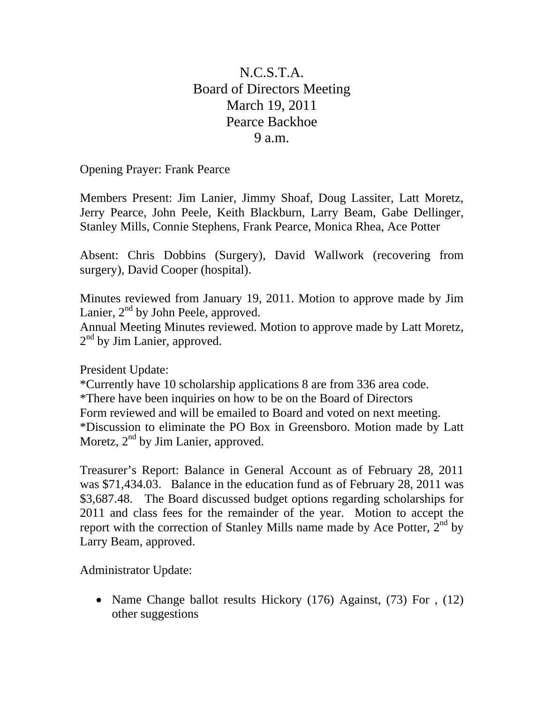## N.C.S.T.A. Board of Directors Meeting March 19, 2011 Pearce Backhoe 9 a.m.

Opening Prayer: Frank Pearce

Members Present: Jim Lanier, Jimmy Shoaf, Doug Lassiter, Latt Moretz, Jerry Pearce, John Peele, Keith Blackburn, Larry Beam, Gabe Dellinger, Stanley Mills, Connie Stephens, Frank Pearce, Monica Rhea, Ace Potter

Absent: Chris Dobbins (Surgery), David Wallwork (recovering from surgery), David Cooper (hospital).

Minutes reviewed from January 19, 2011. Motion to approve made by Jim Lanier,  $2<sup>nd</sup>$  by John Peele, approved.

Annual Meeting Minutes reviewed. Motion to approve made by Latt Moretz,  $2<sup>nd</sup>$  by Jim Lanier, approved.

President Update:

\*Currently have 10 scholarship applications 8 are from 336 area code. \*There have been inquiries on how to be on the Board of Directors Form reviewed and will be emailed to Board and voted on next meeting. \*Discussion to eliminate the PO Box in Greensboro. Motion made by Latt Moretz,  $2<sup>nd</sup>$  by Jim Lanier, approved.

Treasurer's Report: Balance in General Account as of February 28, 2011 was \$71,434.03. Balance in the education fund as of February 28, 2011 was \$3,687.48. The Board discussed budget options regarding scholarships for 2011 and class fees for the remainder of the year. Motion to accept the report with the correction of Stanley Mills name made by Ace Potter,  $2<sup>nd</sup>$  by Larry Beam, approved.

Administrator Update:

• Name Change ballot results Hickory (176) Against, (73) For , (12) other suggestions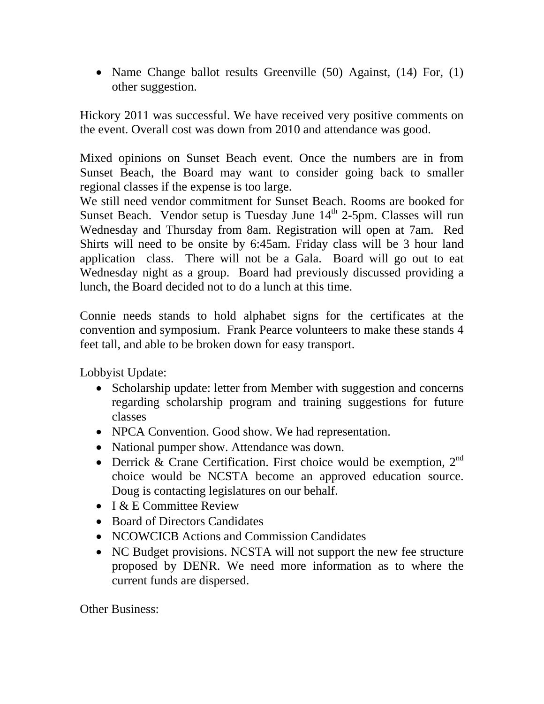• Name Change ballot results Greenville (50) Against, (14) For, (1) other suggestion.

Hickory 2011 was successful. We have received very positive comments on the event. Overall cost was down from 2010 and attendance was good.

Mixed opinions on Sunset Beach event. Once the numbers are in from Sunset Beach, the Board may want to consider going back to smaller regional classes if the expense is too large.

We still need vendor commitment for Sunset Beach. Rooms are booked for Sunset Beach. Vendor setup is Tuesday June  $14<sup>th</sup>$  2-5pm. Classes will run Wednesday and Thursday from 8am. Registration will open at 7am. Red Shirts will need to be onsite by 6:45am. Friday class will be 3 hour land application class. There will not be a Gala. Board will go out to eat Wednesday night as a group. Board had previously discussed providing a lunch, the Board decided not to do a lunch at this time.

Connie needs stands to hold alphabet signs for the certificates at the convention and symposium. Frank Pearce volunteers to make these stands 4 feet tall, and able to be broken down for easy transport.

Lobbyist Update:

- Scholarship update: letter from Member with suggestion and concerns regarding scholarship program and training suggestions for future classes
- NPCA Convention. Good show. We had representation.
- National pumper show. Attendance was down.
- Derrick & Crane Certification. First choice would be exemption,  $2^{nd}$ choice would be NCSTA become an approved education source. Doug is contacting legislatures on our behalf.
- I & E Committee Review
- Board of Directors Candidates
- NCOWCICB Actions and Commission Candidates
- NC Budget provisions. NCSTA will not support the new fee structure proposed by DENR. We need more information as to where the current funds are dispersed.

Other Business: